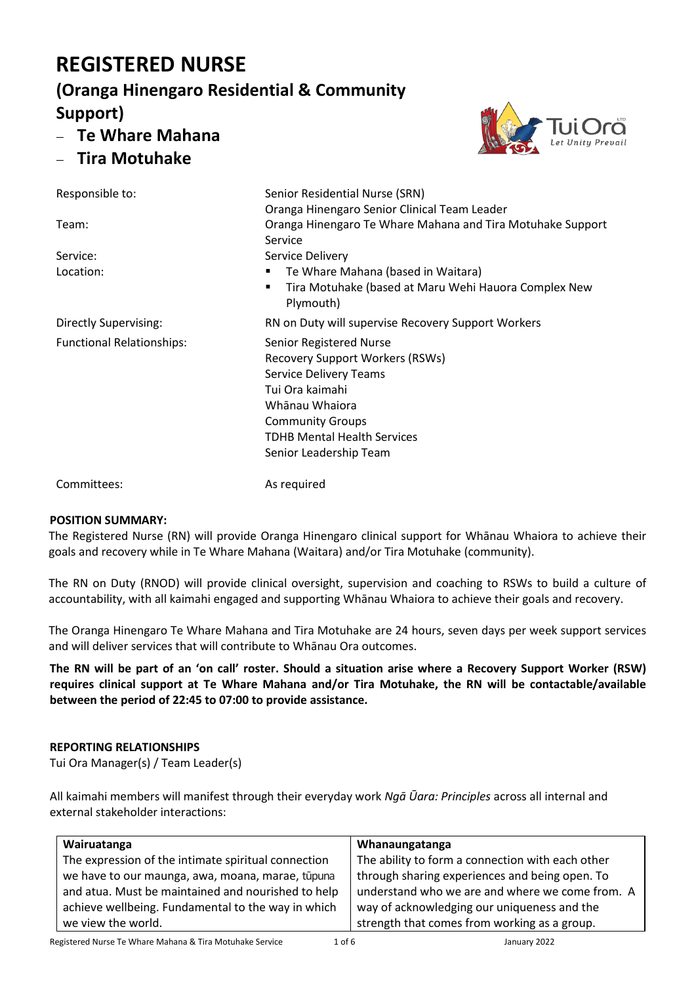# **REGISTERED NURSE**

## **(Oranga Hinengaro Residential & Community Support)**

- − **Te Whare Mahana**
- − **Tira Motuhake**



Responsible to: Senior Residential Nurse (SRN) Oranga Hinengaro Senior Clinical Team Leader Team: Oranga Hinengaro Te Whare Mahana and Tira Motuhake Support Service Service: Service Delivery Location: ▪ Te Whare Mahana (based in Waitara) Tira Motuhake (based at Maru Wehi Hauora Complex New Plymouth) Directly Supervising: RN on Duty will supervise Recovery Support Workers Functional Relationships: Senior Registered Nurse Recovery Support Workers (RSWs) Service Delivery Teams Tui Ora kaimahi Whānau Whaiora Community Groups TDHB Mental Health Services Senior Leadership Team

Committees: As required

## **POSITION SUMMARY:**

The Registered Nurse (RN) will provide Oranga Hinengaro clinical support for Whānau Whaiora to achieve their goals and recovery while in Te Whare Mahana (Waitara) and/or Tira Motuhake (community).

The RN on Duty (RNOD) will provide clinical oversight, supervision and coaching to RSWs to build a culture of accountability, with all kaimahi engaged and supporting Whānau Whaiora to achieve their goals and recovery.

The Oranga Hinengaro Te Whare Mahana and Tira Motuhake are 24 hours, seven days per week support services and will deliver services that will contribute to Whānau Ora outcomes.

**The RN will be part of an 'on call' roster. Should a situation arise where a Recovery Support Worker (RSW) requires clinical support at Te Whare Mahana and/or Tira Motuhake, the RN will be contactable/available between the period of 22:45 to 07:00 to provide assistance.**

## **REPORTING RELATIONSHIPS**

Tui Ora Manager(s) / Team Leader(s)

All kaimahi members will manifest through their everyday work *Ngā Ūara: Principles* across all internal and external stakeholder interactions:

| Wairuatanga                                         | Whanaungatanga                                   |
|-----------------------------------------------------|--------------------------------------------------|
| The expression of the intimate spiritual connection | The ability to form a connection with each other |
| we have to our maunga, awa, moana, marae, tūpuna    | through sharing experiences and being open. To   |
| and atua. Must be maintained and nourished to help  | understand who we are and where we come from. A  |
| achieve wellbeing. Fundamental to the way in which  | way of acknowledging our uniqueness and the      |
| we view the world.                                  | strength that comes from working as a group.     |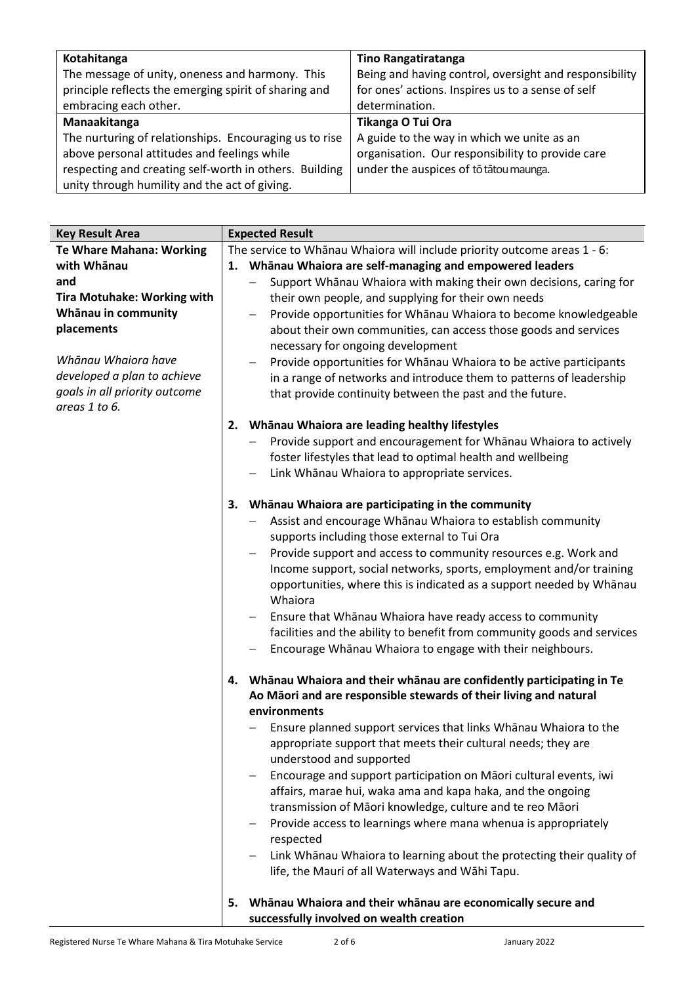| Kotahitanga                                            | <b>Tino Rangatiratanga</b>                             |
|--------------------------------------------------------|--------------------------------------------------------|
| The message of unity, oneness and harmony. This        | Being and having control, oversight and responsibility |
| principle reflects the emerging spirit of sharing and  | for ones' actions. Inspires us to a sense of self      |
| embracing each other.                                  | determination.                                         |
| Manaakitanga                                           | Tikanga O Tui Ora                                      |
| The nurturing of relationships. Encouraging us to rise | A guide to the way in which we unite as an             |
| above personal attitudes and feelings while            | organisation. Our responsibility to provide care       |
| respecting and creating self-worth in others. Building | under the auspices of to tatou maunga.                 |
| unity through humility and the act of giving.          |                                                        |

| <b>Key Result Area</b>                                                                                                                                                                                                                   | <b>Expected Result</b> |                                                                                                                                                                                                                                                                                                                                                                                                                                                                                                                                                                                                                                                                                                                                                                                  |
|------------------------------------------------------------------------------------------------------------------------------------------------------------------------------------------------------------------------------------------|------------------------|----------------------------------------------------------------------------------------------------------------------------------------------------------------------------------------------------------------------------------------------------------------------------------------------------------------------------------------------------------------------------------------------------------------------------------------------------------------------------------------------------------------------------------------------------------------------------------------------------------------------------------------------------------------------------------------------------------------------------------------------------------------------------------|
| <b>Te Whare Mahana: Working</b><br>with Whānau<br>and<br><b>Tira Motuhake: Working with</b><br>Whānau in community<br>placements<br>Whānau Whaiora have<br>developed a plan to achieve<br>goals in all priority outcome<br>areas 1 to 6. |                        | The service to Whānau Whaiora will include priority outcome areas 1 - 6:<br>1. Whānau Whaiora are self-managing and empowered leaders<br>Support Whanau Whaiora with making their own decisions, caring for<br>their own people, and supplying for their own needs<br>Provide opportunities for Whanau Whaiora to become knowledgeable<br>about their own communities, can access those goods and services<br>necessary for ongoing development<br>Provide opportunities for Whanau Whaiora to be active participants<br>in a range of networks and introduce them to patterns of leadership<br>that provide continuity between the past and the future.<br>2. Whānau Whaiora are leading healthy lifestyles<br>Provide support and encouragement for Whanau Whaiora to actively |
|                                                                                                                                                                                                                                          |                        | foster lifestyles that lead to optimal health and wellbeing<br>Link Whānau Whaiora to appropriate services.                                                                                                                                                                                                                                                                                                                                                                                                                                                                                                                                                                                                                                                                      |
|                                                                                                                                                                                                                                          | з.                     | Whānau Whaiora are participating in the community<br>Assist and encourage Whanau Whaiora to establish community<br>supports including those external to Tui Ora<br>Provide support and access to community resources e.g. Work and<br>Income support, social networks, sports, employment and/or training<br>opportunities, where this is indicated as a support needed by Whānau<br>Whaiora<br>Ensure that Whanau Whaiora have ready access to community<br>facilities and the ability to benefit from community goods and services<br>Encourage Whanau Whaiora to engage with their neighbours.                                                                                                                                                                                |
|                                                                                                                                                                                                                                          | 4.                     | Whānau Whaiora and their whānau are confidently participating in Te<br>Ao Māori and are responsible stewards of their living and natural<br>environments<br>Ensure planned support services that links Whanau Whaiora to the<br>appropriate support that meets their cultural needs; they are<br>understood and supported<br>Encourage and support participation on Māori cultural events, iwi<br>affairs, marae hui, waka ama and kapa haka, and the ongoing<br>transmission of Māori knowledge, culture and te reo Māori<br>Provide access to learnings where mana whenua is appropriately<br>respected<br>Link Whanau Whaiora to learning about the protecting their quality of<br>life, the Mauri of all Waterways and Wāhi Tapu.                                            |
|                                                                                                                                                                                                                                          | 5.                     | Whānau Whaiora and their whānau are economically secure and<br>successfully involved on wealth creation                                                                                                                                                                                                                                                                                                                                                                                                                                                                                                                                                                                                                                                                          |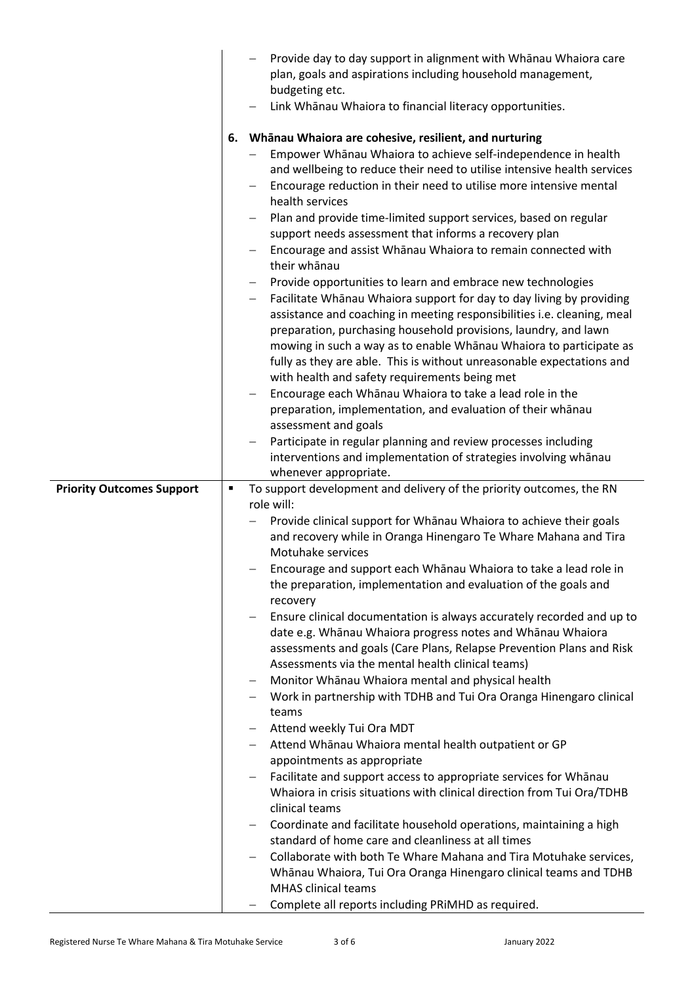|                                  |    | Provide day to day support in alignment with Whanau Whaiora care<br>plan, goals and aspirations including household management,<br>budgeting etc.<br>Link Whanau Whaiora to financial literacy opportunities.                                                                                                                                                                                                                                                                                                                                                                                                                                                                                                                                                                                                                                                                                                                                                                                                                                                                                                                                                                                                                                                                                                                                                       |
|----------------------------------|----|---------------------------------------------------------------------------------------------------------------------------------------------------------------------------------------------------------------------------------------------------------------------------------------------------------------------------------------------------------------------------------------------------------------------------------------------------------------------------------------------------------------------------------------------------------------------------------------------------------------------------------------------------------------------------------------------------------------------------------------------------------------------------------------------------------------------------------------------------------------------------------------------------------------------------------------------------------------------------------------------------------------------------------------------------------------------------------------------------------------------------------------------------------------------------------------------------------------------------------------------------------------------------------------------------------------------------------------------------------------------|
|                                  | 6. | Whānau Whaiora are cohesive, resilient, and nurturing<br>Empower Whanau Whaiora to achieve self-independence in health<br>and wellbeing to reduce their need to utilise intensive health services<br>Encourage reduction in their need to utilise more intensive mental<br>health services<br>Plan and provide time-limited support services, based on regular<br>support needs assessment that informs a recovery plan<br>Encourage and assist Whanau Whaiora to remain connected with<br>their whānau<br>Provide opportunities to learn and embrace new technologies<br>Facilitate Whanau Whaiora support for day to day living by providing<br>assistance and coaching in meeting responsibilities i.e. cleaning, meal<br>preparation, purchasing household provisions, laundry, and lawn<br>mowing in such a way as to enable Whanau Whaiora to participate as<br>fully as they are able. This is without unreasonable expectations and<br>with health and safety requirements being met<br>Encourage each Whanau Whaiora to take a lead role in the<br>preparation, implementation, and evaluation of their whanau<br>assessment and goals<br>Participate in regular planning and review processes including<br>interventions and implementation of strategies involving whānau<br>whenever appropriate.                                                       |
| <b>Priority Outcomes Support</b> |    | To support development and delivery of the priority outcomes, the RN<br>role will:                                                                                                                                                                                                                                                                                                                                                                                                                                                                                                                                                                                                                                                                                                                                                                                                                                                                                                                                                                                                                                                                                                                                                                                                                                                                                  |
|                                  |    | Provide clinical support for Whanau Whaiora to achieve their goals<br>and recovery while in Oranga Hinengaro Te Whare Mahana and Tira<br>Motuhake services<br>Encourage and support each Whanau Whaiora to take a lead role in<br>the preparation, implementation and evaluation of the goals and<br>recovery<br>Ensure clinical documentation is always accurately recorded and up to<br>date e.g. Whānau Whaiora progress notes and Whānau Whaiora<br>assessments and goals (Care Plans, Relapse Prevention Plans and Risk<br>Assessments via the mental health clinical teams)<br>Monitor Whanau Whaiora mental and physical health<br>Work in partnership with TDHB and Tui Ora Oranga Hinengaro clinical<br>teams<br>Attend weekly Tui Ora MDT<br>Attend Whanau Whaiora mental health outpatient or GP<br>appointments as appropriate<br>Facilitate and support access to appropriate services for Whanau<br>Whaiora in crisis situations with clinical direction from Tui Ora/TDHB<br>clinical teams<br>Coordinate and facilitate household operations, maintaining a high<br>standard of home care and cleanliness at all times<br>Collaborate with both Te Whare Mahana and Tira Motuhake services,<br>Whānau Whaiora, Tui Ora Oranga Hinengaro clinical teams and TDHB<br><b>MHAS clinical teams</b><br>Complete all reports including PRIMHD as required. |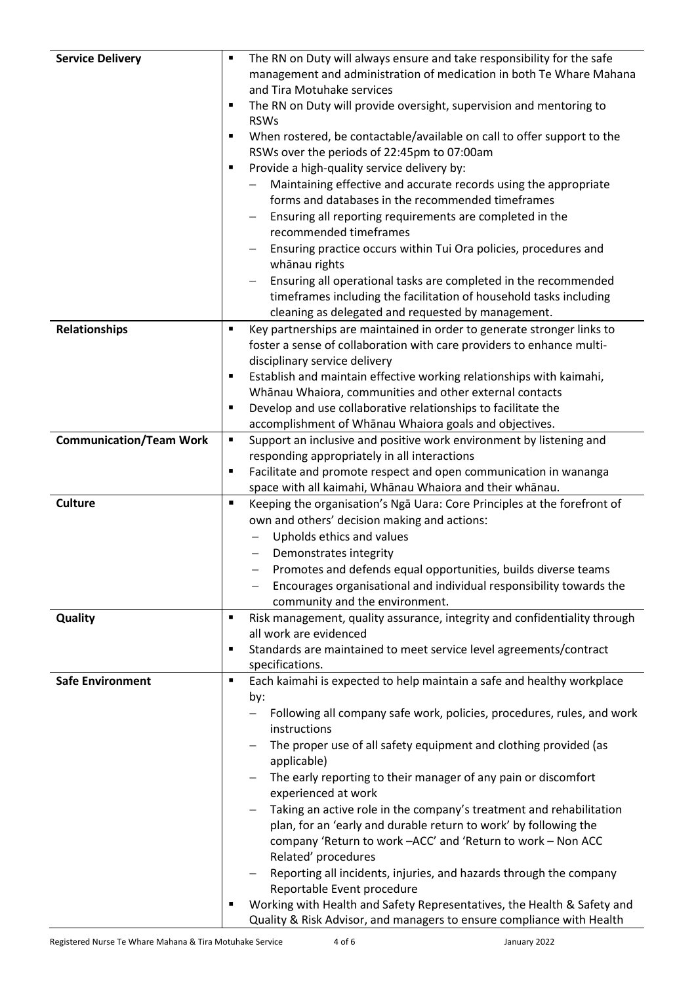| <b>Service Delivery</b>        |                | The RN on Duty will always ensure and take responsibility for the safe                      |
|--------------------------------|----------------|---------------------------------------------------------------------------------------------|
|                                |                | management and administration of medication in both Te Whare Mahana                         |
|                                |                | and Tira Motuhake services                                                                  |
|                                | ٠              | The RN on Duty will provide oversight, supervision and mentoring to                         |
|                                |                | <b>RSWs</b>                                                                                 |
|                                | п              | When rostered, be contactable/available on call to offer support to the                     |
|                                |                | RSWs over the periods of 22:45pm to 07:00am                                                 |
|                                |                | Provide a high-quality service delivery by:                                                 |
|                                |                | Maintaining effective and accurate records using the appropriate                            |
|                                |                | forms and databases in the recommended timeframes                                           |
|                                |                | Ensuring all reporting requirements are completed in the                                    |
|                                |                | recommended timeframes                                                                      |
|                                |                | Ensuring practice occurs within Tui Ora policies, procedures and                            |
|                                |                | whānau rights                                                                               |
|                                |                | Ensuring all operational tasks are completed in the recommended                             |
|                                |                | timeframes including the facilitation of household tasks including                          |
|                                |                | cleaning as delegated and requested by management.                                          |
| Relationships                  | ٠              | Key partnerships are maintained in order to generate stronger links to                      |
|                                |                | foster a sense of collaboration with care providers to enhance multi-                       |
|                                |                | disciplinary service delivery                                                               |
|                                | п              | Establish and maintain effective working relationships with kaimahi,                        |
|                                |                | Whānau Whaiora, communities and other external contacts                                     |
|                                |                | Develop and use collaborative relationships to facilitate the                               |
|                                |                | accomplishment of Whānau Whaiora goals and objectives.                                      |
| <b>Communication/Team Work</b> | $\blacksquare$ | Support an inclusive and positive work environment by listening and                         |
|                                |                | responding appropriately in all interactions                                                |
|                                | П              | Facilitate and promote respect and open communication in wananga                            |
|                                |                | space with all kaimahi, Whānau Whaiora and their whānau.                                    |
| <b>Culture</b>                 | п              | Keeping the organisation's Nga Uara: Core Principles at the forefront of                    |
|                                |                | own and others' decision making and actions:                                                |
|                                |                | Upholds ethics and values                                                                   |
|                                |                | Demonstrates integrity                                                                      |
|                                |                | Promotes and defends equal opportunities, builds diverse teams                              |
|                                |                | Encourages organisational and individual responsibility towards the                         |
|                                |                | community and the environment.                                                              |
| Quality                        | $\blacksquare$ | Risk management, quality assurance, integrity and confidentiality through                   |
|                                |                | all work are evidenced                                                                      |
|                                | п              | Standards are maintained to meet service level agreements/contract                          |
|                                |                | specifications.                                                                             |
| <b>Safe Environment</b>        | ٠              | Each kaimahi is expected to help maintain a safe and healthy workplace                      |
|                                |                | by:                                                                                         |
|                                |                | Following all company safe work, policies, procedures, rules, and work<br>$\qquad \qquad -$ |
|                                |                | instructions                                                                                |
|                                |                | The proper use of all safety equipment and clothing provided (as<br>$\qquad \qquad -$       |
|                                |                | applicable)                                                                                 |
|                                |                | The early reporting to their manager of any pain or discomfort                              |
|                                |                | experienced at work                                                                         |
|                                |                | Taking an active role in the company's treatment and rehabilitation                         |
|                                |                | plan, for an 'early and durable return to work' by following the                            |
|                                |                | company 'Return to work -ACC' and 'Return to work - Non ACC                                 |
|                                |                | Related' procedures                                                                         |
|                                |                | Reporting all incidents, injuries, and hazards through the company                          |
|                                |                | Reportable Event procedure                                                                  |
|                                |                | Working with Health and Safety Representatives, the Health & Safety and                     |
|                                |                | Quality & Risk Advisor, and managers to ensure compliance with Health                       |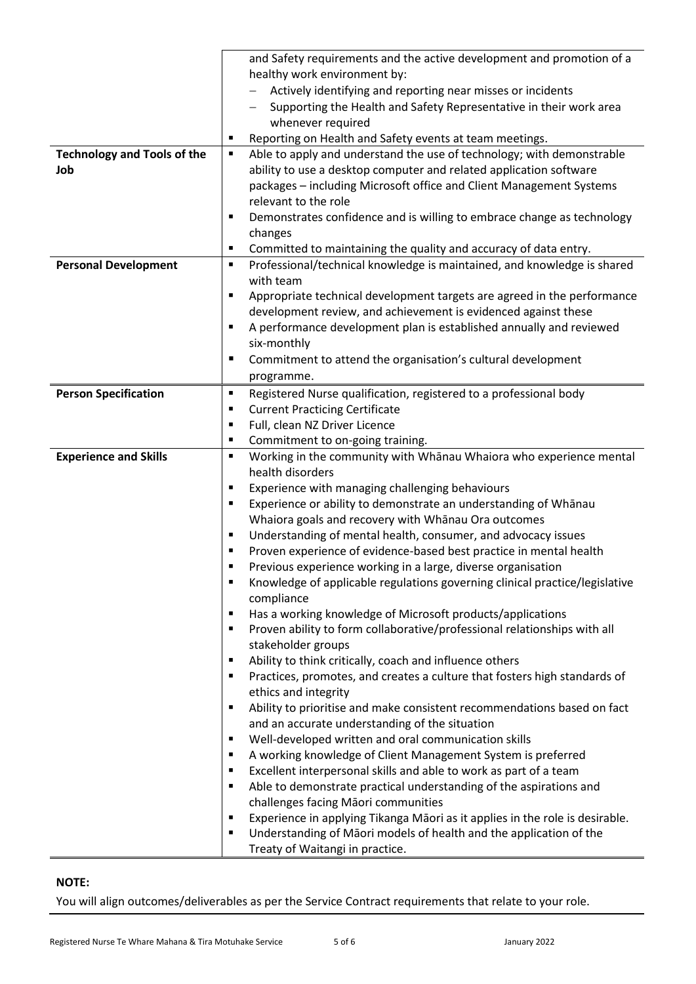|                                    | and Safety requirements and the active development and promotion of a                                                                                         |  |
|------------------------------------|---------------------------------------------------------------------------------------------------------------------------------------------------------------|--|
|                                    | healthy work environment by:                                                                                                                                  |  |
|                                    | Actively identifying and reporting near misses or incidents                                                                                                   |  |
|                                    | Supporting the Health and Safety Representative in their work area                                                                                            |  |
|                                    | whenever required                                                                                                                                             |  |
|                                    | Reporting on Health and Safety events at team meetings.                                                                                                       |  |
| <b>Technology and Tools of the</b> | Able to apply and understand the use of technology; with demonstrable<br>٠                                                                                    |  |
| Job                                | ability to use a desktop computer and related application software                                                                                            |  |
|                                    | packages - including Microsoft office and Client Management Systems                                                                                           |  |
|                                    | relevant to the role                                                                                                                                          |  |
|                                    | Demonstrates confidence and is willing to embrace change as technology<br>п                                                                                   |  |
|                                    | changes                                                                                                                                                       |  |
|                                    | Committed to maintaining the quality and accuracy of data entry.<br>٠                                                                                         |  |
| <b>Personal Development</b>        | Professional/technical knowledge is maintained, and knowledge is shared<br>٠                                                                                  |  |
|                                    | with team                                                                                                                                                     |  |
|                                    | Appropriate technical development targets are agreed in the performance<br>$\blacksquare$                                                                     |  |
|                                    | development review, and achievement is evidenced against these                                                                                                |  |
|                                    | A performance development plan is established annually and reviewed                                                                                           |  |
|                                    | six-monthly                                                                                                                                                   |  |
|                                    | Commitment to attend the organisation's cultural development<br>п                                                                                             |  |
|                                    | programme.                                                                                                                                                    |  |
| <b>Person Specification</b>        | Registered Nurse qualification, registered to a professional body<br>$\blacksquare$                                                                           |  |
|                                    | <b>Current Practicing Certificate</b><br>٠                                                                                                                    |  |
|                                    | Full, clean NZ Driver Licence<br>п                                                                                                                            |  |
|                                    | Commitment to on-going training.<br>п                                                                                                                         |  |
| <b>Experience and Skills</b>       | Working in the community with Whanau Whaiora who experience mental<br>٠                                                                                       |  |
|                                    | health disorders                                                                                                                                              |  |
|                                    | Experience with managing challenging behaviours<br>٠                                                                                                          |  |
|                                    | Experience or ability to demonstrate an understanding of Whānau                                                                                               |  |
|                                    | Whaiora goals and recovery with Whanau Ora outcomes                                                                                                           |  |
|                                    | Understanding of mental health, consumer, and advocacy issues<br>п                                                                                            |  |
|                                    | Proven experience of evidence-based best practice in mental health                                                                                            |  |
|                                    | Previous experience working in a large, diverse organisation<br>Knowledge of applicable regulations governing clinical practice/legislative<br>$\blacksquare$ |  |
|                                    | compliance                                                                                                                                                    |  |
|                                    | Has a working knowledge of Microsoft products/applications<br>٠                                                                                               |  |
|                                    | Proven ability to form collaborative/professional relationships with all                                                                                      |  |
|                                    | stakeholder groups                                                                                                                                            |  |
|                                    | Ability to think critically, coach and influence others<br>$\blacksquare$                                                                                     |  |
|                                    | Practices, promotes, and creates a culture that fosters high standards of<br>$\blacksquare$                                                                   |  |
|                                    | ethics and integrity                                                                                                                                          |  |
|                                    | Ability to prioritise and make consistent recommendations based on fact                                                                                       |  |
|                                    | and an accurate understanding of the situation                                                                                                                |  |
|                                    | Well-developed written and oral communication skills<br>$\blacksquare$                                                                                        |  |
|                                    | A working knowledge of Client Management System is preferred                                                                                                  |  |
|                                    | Excellent interpersonal skills and able to work as part of a team<br>п                                                                                        |  |
|                                    | Able to demonstrate practical understanding of the aspirations and<br>п                                                                                       |  |
|                                    | challenges facing Māori communities                                                                                                                           |  |
|                                    | Experience in applying Tikanga Māori as it applies in the role is desirable.                                                                                  |  |
|                                    | Understanding of Māori models of health and the application of the                                                                                            |  |
|                                    | Treaty of Waitangi in practice.                                                                                                                               |  |

#### **NOTE:**

You will align outcomes/deliverables as per the Service Contract requirements that relate to your role.